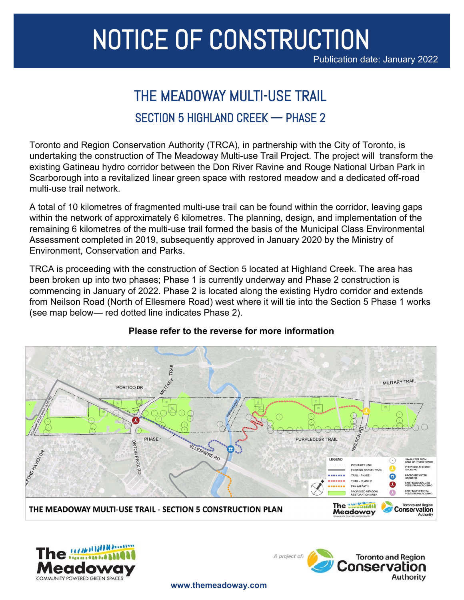# NOTICE OF CONSTRUCTION

Publication date: January 2022

## THE MEADOWAY MULTI-USE TRAIL SECTION 5 HIGHLAND CREEK — PHASE 2

Toronto and Region Conservation Authority (TRCA), in partnership with the City of Toronto, is undertaking the construction of The Meadoway Multi-use Trail Project. The project will transform the existing Gatineau hydro corridor between the Don River Ravine and Rouge National Urban Park in Scarborough into a revitalized linear green space with restored meadow and a dedicated off-road multi-use trail network.

A total of 10 kilometres of fragmented multi-use trail can be found within the corridor, leaving gaps within the network of approximately 6 kilometres. The planning, design, and implementation of the remaining 6 kilometres of the multi-use trail formed the basis of the Municipal Class Environmental Assessment completed in 2019, subsequently approved in January 2020 by the Ministry of Environment, Conservation and Parks.

TRCA is proceeding with the construction of Section 5 located at Highland Creek. The area has been broken up into two phases; Phase 1 is currently underway and Phase 2 construction is commencing in January of 2022. Phase 2 is located along the existing Hydro corridor and extends from Neilson Road (North of Ellesmere Road) west where it will tie into the Section 5 Phase 1 works (see map below— red dotted line indicates Phase 2).



#### **Please refer to the reverse for more information**





**www.themeadoway.com**